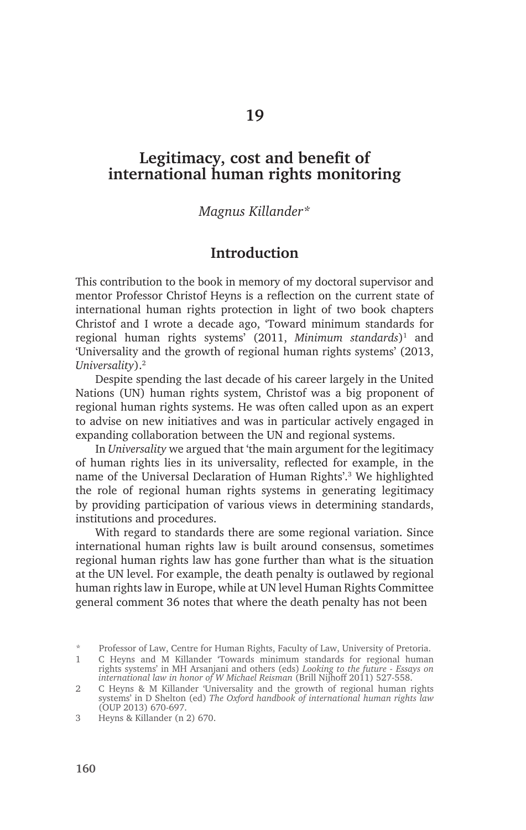# **Legitimacy, cost and benefit of international human rights monitoring**

#### *Magnus Killander\**

#### **Introduction**

This contribution to the book in memory of my doctoral supervisor and mentor Professor Christof Heyns is a reflection on the current state of international human rights protection in light of two book chapters Christof and I wrote a decade ago, 'Toward minimum standards for regional human rights systems' (2011, *Minimum standards*)1 and 'Universality and the growth of regional human rights systems' (2013, *Universality*).2

Despite spending the last decade of his career largely in the United Nations (UN) human rights system, Christof was a big proponent of regional human rights systems. He was often called upon as an expert to advise on new initiatives and was in particular actively engaged in expanding collaboration between the UN and regional systems.

In *Universality* we argued that 'the main argument for the legitimacy of human rights lies in its universality, reflected for example, in the name of the Universal Declaration of Human Rights'.3 We highlighted the role of regional human rights systems in generating legitimacy by providing participation of various views in determining standards, institutions and procedures.

With regard to standards there are some regional variation. Since international human rights law is built around consensus, sometimes regional human rights law has gone further than what is the situation at the UN level. For example, the death penalty is outlawed by regional human rights law in Europe, while at UN level Human Rights Committee general comment 36 notes that where the death penalty has not been

<sup>\*</sup> Professor of Law, Centre for Human Rights, Faculty of Law, University of Pretoria.

<sup>1</sup> C Heyns and M Killander 'Towards minimum standards for regional human rights systems' in MH Arsanjani and others (eds) *Looking to the future - Essays on*  international law in honor of W Michael Reisman (Brill Nijhoff 2011) 527-558.

<sup>2</sup> C Heyns & M Killander 'Universality and the growth of regional human rights systems' in D Shelton (ed) *The Oxford handbook of international human rights law* (OUP 2013) 670-697.

<sup>3</sup> Heyns & Killander (n 2) 670.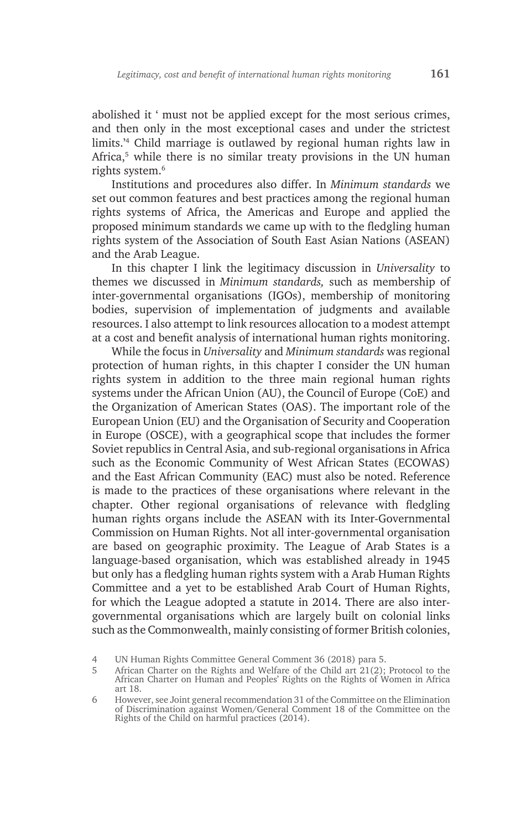abolished it ' must not be applied except for the most serious crimes, and then only in the most exceptional cases and under the strictest limits.'4 Child marriage is outlawed by regional human rights law in Africa,<sup>5</sup> while there is no similar treaty provisions in the UN human rights system.6

Institutions and procedures also differ. In *Minimum standards* we set out common features and best practices among the regional human rights systems of Africa, the Americas and Europe and applied the proposed minimum standards we came up with to the fledgling human rights system of the Association of South East Asian Nations (ASEAN) and the Arab League.

In this chapter I link the legitimacy discussion in *Universality* to themes we discussed in *Minimum standards,* such as membership of inter-governmental organisations (IGOs), membership of monitoring bodies, supervision of implementation of judgments and available resources. I also attempt to link resources allocation to a modest attempt at a cost and benefit analysis of international human rights monitoring.

While the focus in *Universality* and *Minimum standards* was regional protection of human rights, in this chapter I consider the UN human rights system in addition to the three main regional human rights systems under the African Union (AU), the Council of Europe (CoE) and the Organization of American States (OAS). The important role of the European Union (EU) and the Organisation of Security and Cooperation in Europe (OSCE), with a geographical scope that includes the former Soviet republics in Central Asia, and sub-regional organisations in Africa such as the Economic Community of West African States (ECOWAS) and the East African Community (EAC) must also be noted. Reference is made to the practices of these organisations where relevant in the chapter. Other regional organisations of relevance with fledgling human rights organs include the ASEAN with its Inter-Governmental Commission on Human Rights. Not all inter-governmental organisation are based on geographic proximity. The League of Arab States is a language-based organisation, which was established already in 1945 but only has a fledgling human rights system with a Arab Human Rights Committee and a yet to be established Arab Court of Human Rights, for which the League adopted a statute in 2014. There are also intergovernmental organisations which are largely built on colonial links such as the Commonwealth, mainly consisting of former British colonies,

<sup>4</sup> UN Human Rights Committee General Comment 36 (2018) para 5.

<sup>5</sup> African Charter on the Rights and Welfare of the Child art 21(2); Protocol to the African Charter on Human and Peoples' Rights on the Rights of Women in Africa art 18.

<sup>6</sup> However, see Joint general recommendation 31 of the Committee on the Elimination of Discrimination against Women/General Comment 18 of the Committee on the Rights of the Child on harmful practices (2014).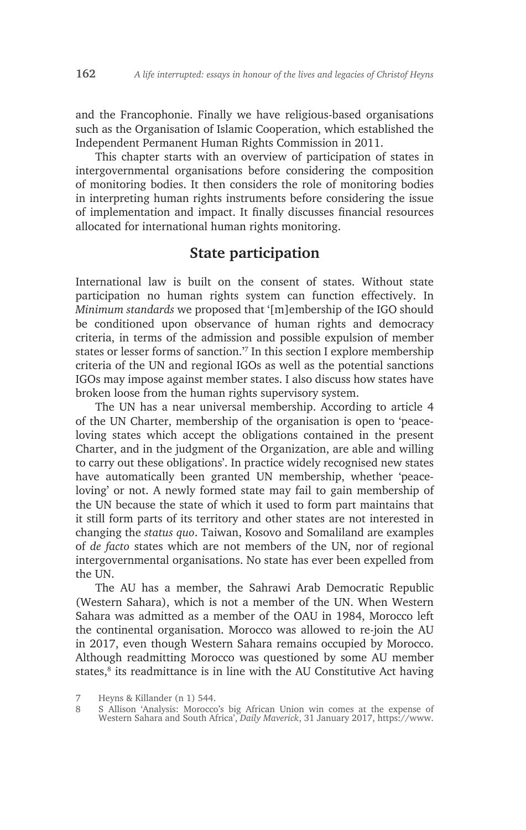and the Francophonie. Finally we have religious-based organisations such as the Organisation of Islamic Cooperation, which established the Independent Permanent Human Rights Commission in 2011.

This chapter starts with an overview of participation of states in intergovernmental organisations before considering the composition of monitoring bodies. It then considers the role of monitoring bodies in interpreting human rights instruments before considering the issue of implementation and impact. It finally discusses financial resources allocated for international human rights monitoring.

## **State participation**

International law is built on the consent of states. Without state participation no human rights system can function effectively. In *Minimum standards* we proposed that '[m]embership of the IGO should be conditioned upon observance of human rights and democracy criteria, in terms of the admission and possible expulsion of member states or lesser forms of sanction.'7 In this section I explore membership criteria of the UN and regional IGOs as well as the potential sanctions IGOs may impose against member states. I also discuss how states have broken loose from the human rights supervisory system.

The UN has a near universal membership. According to article 4 of the UN Charter, membership of the organisation is open to 'peaceloving states which accept the obligations contained in the present Charter, and in the judgment of the Organization, are able and willing to carry out these obligations'. In practice widely recognised new states have automatically been granted UN membership, whether 'peaceloving' or not. A newly formed state may fail to gain membership of the UN because the state of which it used to form part maintains that it still form parts of its territory and other states are not interested in changing the *status quo*. Taiwan, Kosovo and Somaliland are examples of *de facto* states which are not members of the UN, nor of regional intergovernmental organisations. No state has ever been expelled from the UN.

The AU has a member, the Sahrawi Arab Democratic Republic (Western Sahara), which is not a member of the UN. When Western Sahara was admitted as a member of the OAU in 1984, Morocco left the continental organisation. Morocco was allowed to re-join the AU in 2017, even though Western Sahara remains occupied by Morocco. Although readmitting Morocco was questioned by some AU member states,<sup>8</sup> its readmittance is in line with the AU Constitutive Act having

<sup>7</sup> Heyns & Killander (n 1) 544.

<sup>8</sup> S Allison 'Analysis: Morocco's big African Union win comes at the expense of Western Sahara and South Africa', *Daily Maverick*, 31 January 2017, https://www.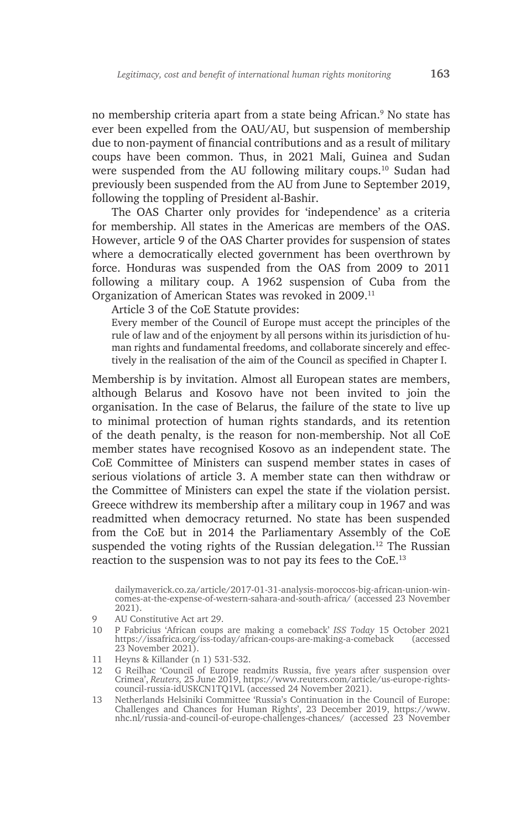no membership criteria apart from a state being African.9 No state has ever been expelled from the OAU/AU, but suspension of membership due to non-payment of financial contributions and as a result of military coups have been common. Thus, in 2021 Mali, Guinea and Sudan were suspended from the AU following military coups.10 Sudan had previously been suspended from the AU from June to September 2019, following the toppling of President al-Bashir.

The OAS Charter only provides for 'independence' as a criteria for membership. All states in the Americas are members of the OAS. However, article 9 of the OAS Charter provides for suspension of states where a democratically elected government has been overthrown by force. Honduras was suspended from the OAS from 2009 to 2011 following a military coup. A 1962 suspension of Cuba from the Organization of American States was revoked in 2009.11

Article 3 of the CoE Statute provides:

Every member of the Council of Europe must accept the principles of the rule of law and of the enjoyment by all persons within its jurisdiction of human rights and fundamental freedoms, and collaborate sincerely and effectively in the realisation of the aim of the Council as specified in Chapter I.

Membership is by invitation. Almost all European states are members, although Belarus and Kosovo have not been invited to join the organisation. In the case of Belarus, the failure of the state to live up to minimal protection of human rights standards, and its retention of the death penalty, is the reason for non-membership. Not all CoE member states have recognised Kosovo as an independent state. The CoE Committee of Ministers can suspend member states in cases of serious violations of article 3. A member state can then withdraw or the Committee of Ministers can expel the state if the violation persist. Greece withdrew its membership after a military coup in 1967 and was readmitted when democracy returned. No state has been suspended from the CoE but in 2014 the Parliamentary Assembly of the CoE suspended the voting rights of the Russian delegation.<sup>12</sup> The Russian reaction to the suspension was to not pay its fees to the CoE.13

dailymaverick.co.za/article/2017-01-31-analysis-moroccos-big-african-union-wincomes-at-the-expense-of-western-sahara-and-south-africa/ (accessed 23 November 2021).

<sup>9</sup> AU Constitutive Act art 29.

<sup>10</sup> P Fabricius 'African coups are making a comeback' *ISS Today* 15 October 2021 https://issafrica.org/iss-today/african-coups-are-making-a-comeback (accessed 23 November 2021).

<sup>11</sup> Heyns & Killander (n 1) 531-532.

<sup>12</sup> G Reilhac 'Council of Europe readmits Russia, five years after suspension over Crimea', *Reuters,* 25 June 2019, https://www.reuters.com/article/us-europe-rightscouncil-russia-idUSKCN1TQ1VL (accessed 24 November 2021).

<sup>13</sup> Netherlands Helsiniki Committee 'Russia's Continuation in the Council of Europe: Challenges and Chances for Human Rights', 23 December 2019, https://www. nhc.nl/russia-and-council-of-europe-challenges-chances/ (accessed 23 November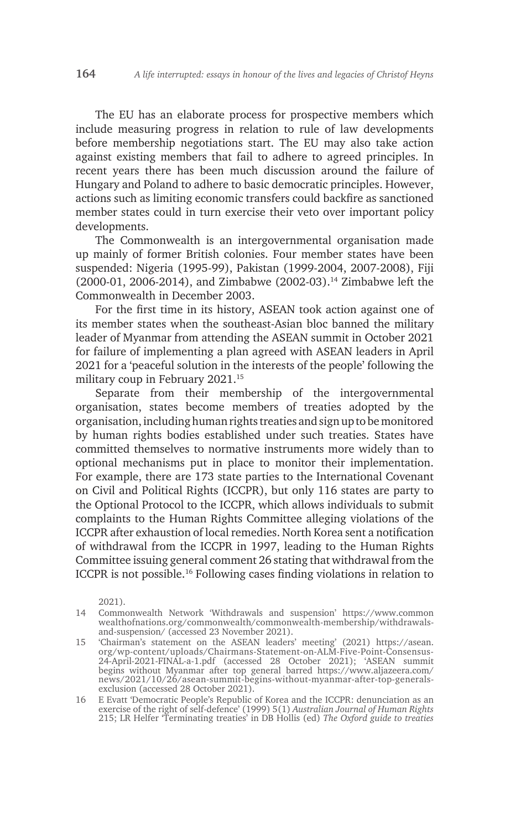The EU has an elaborate process for prospective members which include measuring progress in relation to rule of law developments before membership negotiations start. The EU may also take action against existing members that fail to adhere to agreed principles. In recent years there has been much discussion around the failure of Hungary and Poland to adhere to basic democratic principles. However, actions such as limiting economic transfers could backfire as sanctioned member states could in turn exercise their veto over important policy developments.

The Commonwealth is an intergovernmental organisation made up mainly of former British colonies. Four member states have been suspended: Nigeria (1995-99), Pakistan (1999-2004, 2007-2008), Fiji (2000-01, 2006-2014), and Zimbabwe (2002-03).14 Zimbabwe left the Commonwealth in December 2003.

For the first time in its history, ASEAN took action against one of its member states when the southeast-Asian bloc banned the military leader of Myanmar from attending the ASEAN summit in October 2021 for failure of implementing a plan agreed with ASEAN leaders in April 2021 for a 'peaceful solution in the interests of the people' following the military coup in February 2021.15

Separate from their membership of the intergovernmental organisation, states become members of treaties adopted by the organisation, including human rights treaties and sign up to be monitored by human rights bodies established under such treaties. States have committed themselves to normative instruments more widely than to optional mechanisms put in place to monitor their implementation. For example, there are 173 state parties to the International Covenant on Civil and Political Rights (ICCPR), but only 116 states are party to the Optional Protocol to the ICCPR, which allows individuals to submit complaints to the Human Rights Committee alleging violations of the ICCPR after exhaustion of local remedies. North Korea sent a notification of withdrawal from the ICCPR in 1997, leading to the Human Rights Committee issuing general comment 26 stating that withdrawal from the ICCPR is not possible.16 Following cases finding violations in relation to

16 E Evatt 'Democratic People's Republic of Korea and the ICCPR: denunciation as an exercise of the right of self-defence' (1999) 5(1) *Australian Journal of Human Rights* 215; LR Helfer 'Terminating treaties' in DB Hollis (ed) *The Oxford guide to treaties*

<sup>2021).</sup>

<sup>14</sup> Commonwealth Network 'Withdrawals and suspension' https://www.common wealthofnations.org/commonwealth/commonwealth-membership/withdrawalsand-suspension/ (accessed 23 November 2021).

<sup>15</sup> 'Chairman's statement on the ASEAN leaders' meeting' (2021) https://asean. org/wp-content/uploads/Chairmans-Statement-on-ALM-Five-Point-Consensus-24-April-2021-FINAL-a-1.pdf (accessed 28 October 2021); 'ASEAN summit begins without Myanmar after top general barred https://www.aljazeera.com/ news/2021/10/26/asean-summit-begins-without-myanmar-after-top-generalsexclusion (accessed 28 October 2021).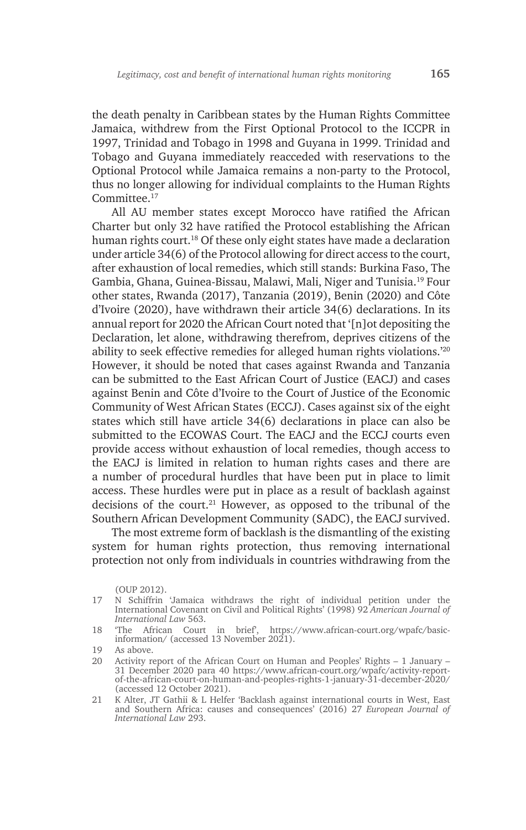the death penalty in Caribbean states by the Human Rights Committee Jamaica, withdrew from the First Optional Protocol to the ICCPR in 1997, Trinidad and Tobago in 1998 and Guyana in 1999. Trinidad and Tobago and Guyana immediately reacceded with reservations to the Optional Protocol while Jamaica remains a non-party to the Protocol, thus no longer allowing for individual complaints to the Human Rights Committee.17

All AU member states except Morocco have ratified the African Charter but only 32 have ratified the Protocol establishing the African human rights court.<sup>18</sup> Of these only eight states have made a declaration under article 34(6) of the Protocol allowing for direct access to the court, after exhaustion of local remedies, which still stands: Burkina Faso, The Gambia, Ghana, Guinea-Bissau, Malawi, Mali, Niger and Tunisia.19 Four other states, Rwanda (2017), Tanzania (2019), Benin (2020) and Côte d'Ivoire (2020), have withdrawn their article 34(6) declarations. In its annual report for 2020 the African Court noted that '[n]ot depositing the Declaration, let alone, withdrawing therefrom, deprives citizens of the ability to seek effective remedies for alleged human rights violations.'20 However, it should be noted that cases against Rwanda and Tanzania can be submitted to the East African Court of Justice (EACJ) and cases against Benin and Côte d'Ivoire to the Court of Justice of the Economic Community of West African States (ECCJ). Cases against six of the eight states which still have article 34(6) declarations in place can also be submitted to the ECOWAS Court. The EACJ and the ECCJ courts even provide access without exhaustion of local remedies, though access to the EACJ is limited in relation to human rights cases and there are a number of procedural hurdles that have been put in place to limit access. These hurdles were put in place as a result of backlash against decisions of the court.<sup>21</sup> However, as opposed to the tribunal of the Southern African Development Community (SADC), the EACJ survived.

The most extreme form of backlash is the dismantling of the existing system for human rights protection, thus removing international protection not only from individuals in countries withdrawing from the

<sup>(</sup>OUP 2012).

<sup>17</sup> N Schiffrin 'Jamaica withdraws the right of individual petition under the International Covenant on Civil and Political Rights' (1998) 92 *American Journal of International Law* 563.

<sup>18</sup> 'The African Court in brief', https://www.african-court.org/wpafc/basicinformation/ (accessed 13 November 2021).

<sup>19</sup> As above.

<sup>20</sup> Activity report of the African Court on Human and Peoples' Rights – 1 January – 31 December 2020 para 40 https://www.african-court.org/wpafc/activity-reportof-the-african-court-on-human-and-peoples-rights-1-january-31-december-2020/ (accessed 12 October 2021).

<sup>21</sup> K Alter, JT Gathii & L Helfer 'Backlash against international courts in West, East and Southern Africa: causes and consequences' (2016) 27 *European Journal of International Law* 293.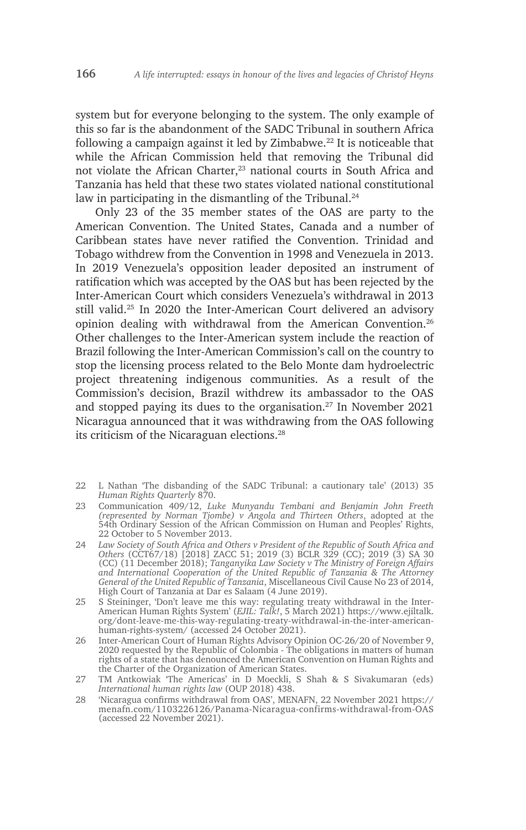system but for everyone belonging to the system. The only example of this so far is the abandonment of the SADC Tribunal in southern Africa following a campaign against it led by Zimbabwe. $22$  It is noticeable that while the African Commission held that removing the Tribunal did not violate the African Charter,<sup>23</sup> national courts in South Africa and Tanzania has held that these two states violated national constitutional law in participating in the dismantling of the Tribunal.<sup>24</sup>

Only 23 of the 35 member states of the OAS are party to the American Convention. The United States, Canada and a number of Caribbean states have never ratified the Convention. Trinidad and Tobago withdrew from the Convention in 1998 and Venezuela in 2013. In 2019 Venezuela's opposition leader deposited an instrument of ratification which was accepted by the OAS but has been rejected by the Inter-American Court which considers Venezuela's withdrawal in 2013 still valid.25 In 2020 the Inter-American Court delivered an advisory opinion dealing with withdrawal from the American Convention.26 Other challenges to the Inter-American system include the reaction of Brazil following the Inter-American Commission's call on the country to stop the licensing process related to the Belo Monte dam hydroelectric project threatening indigenous communities. As a result of the Commission's decision, Brazil withdrew its ambassador to the OAS and stopped paying its dues to the organisation. $27$  In November 2021 Nicaragua announced that it was withdrawing from the OAS following its criticism of the Nicaraguan elections.<sup>28</sup>

- 22 L Nathan 'The disbanding of the SADC Tribunal: a cautionary tale' (2013) 35 *Human Rights Quarterly* 870.
- 23 Communication 409/12, *Luke Munyandu Tembani and Benjamin John Freeth (represented by Norman Tjombe) v Angola and Thirteen Others*, adopted at the 54th Ordinary Session of the African Commission on Human and Peoples' Rights, 22 October to 5 November 2013.
- 24 *Law Society of South Africa and Others v President of the Republic of South Africa and Others* (CCT67/18) [2018] ZACC 51; 2019 (3) BCLR 329 (CC); 2019 (3) SA 30 (CC) (11 December 2018); *Tanganyika Law Society v The Ministry of Foreign Affairs and International Cooperation of the United Republic of Tanzania & The Attorney General of the United Republic of Tanzania*, Miscellaneous Civil Cause No 23 of 2014, High Court of Tanzania at Dar es Salaam (4 June 2019).
- 25 S Steininger, 'Don't leave me this way: regulating treaty withdrawal in the Inter-American Human Rights System' (*EJIL: Talk!*, 5 March 2021) https://www.ejiltalk. org/dont-leave-me-this-way-regulating-treaty-withdrawal-in-the-inter-americanhuman-rights-system/ (accessed 24 October 2021).
- 26 Inter-American Court of Human Rights Advisory Opinion OC-26/20 of November 9, 2020 requested by the Republic of Colombia - The obligations in matters of human rights of a state that has denounced the American Convention on Human Rights and the Charter of the Organization of American States.
- 27 TM Antkowiak 'The Americas' in D Moeckli, S Shah & S Sivakumaran (eds) *International human rights law* (OUP 2018) 438.
- 28 'Nicaragua confirms withdrawal from OAS', MENAFN, 22 November 2021 https:// menafn.com/1103226126/Panama-Nicaragua-confirms-withdrawal-from-OAS (accessed 22 November 2021).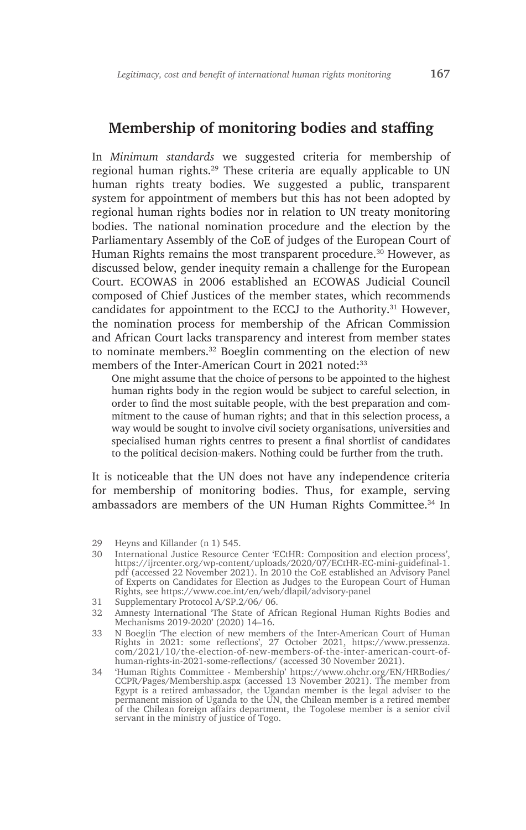#### **Membership of monitoring bodies and staffing**

In *Minimum standards* we suggested criteria for membership of regional human rights.29 These criteria are equally applicable to UN human rights treaty bodies. We suggested a public, transparent system for appointment of members but this has not been adopted by regional human rights bodies nor in relation to UN treaty monitoring bodies. The national nomination procedure and the election by the Parliamentary Assembly of the CoE of judges of the European Court of Human Rights remains the most transparent procedure.<sup>30</sup> However, as discussed below, gender inequity remain a challenge for the European Court. ECOWAS in 2006 established an ECOWAS Judicial Council composed of Chief Justices of the member states, which recommends candidates for appointment to the ECCJ to the Authority.<sup>31</sup> However, the nomination process for membership of the African Commission and African Court lacks transparency and interest from member states to nominate members.32 Boeglin commenting on the election of new members of the Inter-American Court in 2021 noted<sup>33</sup>

One might assume that the choice of persons to be appointed to the highest human rights body in the region would be subject to careful selection, in order to find the most suitable people, with the best preparation and commitment to the cause of human rights; and that in this selection process, a way would be sought to involve civil society organisations, universities and specialised human rights centres to present a final shortlist of candidates to the political decision-makers. Nothing could be further from the truth.

It is noticeable that the UN does not have any independence criteria for membership of monitoring bodies. Thus, for example, serving ambassadors are members of the UN Human Rights Committee.<sup>34</sup> In

<sup>29</sup> Heyns and Killander (n 1) 545.

<sup>30</sup> International Justice Resource Center 'ECtHR: Composition and election process', https://ijrcenter.org/wp-content/uploads/2020/07/ECtHR-EC-mini-guidefinal-1. pdf (accessed 22 November 2021). In 2010 the CoE established an Advisory Panel of Experts on Candidates for Election as Judges to the European Court of Human Rights, see https://www.coe.int/en/web/dlapil/advisory-panel

<sup>31</sup> Supplementary Protocol A/SP.2/06/ 06.

<sup>32</sup> Amnesty International 'The State of African Regional Human Rights Bodies and Mechanisms 2019-2020' (2020) 14–16.

<sup>33</sup> N Boeglin 'The election of new members of the Inter-American Court of Human Rights in 2021: some reflections', 27 October 2021, https://www.pressenza. com/2021/10/the-election-of-new-members-of-the-inter-american-court-ofhuman-rights-in-2021-some-reflections/ (accessed 30 November 2021).

<sup>34</sup> 'Human Rights Committee - Membership' https://www.ohchr.org/EN/HRBodies/ CCPR/Pages/Membership.aspx (accessed 13 November 2021). The member from Egypt is a retired ambassador, the Ugandan member is the legal adviser to the permanent mission of Uganda to the UN, the Chilean member is a retired member of the Chilean foreign affairs department, the Togolese member is a senior civil servant in the ministry of justice of Togo.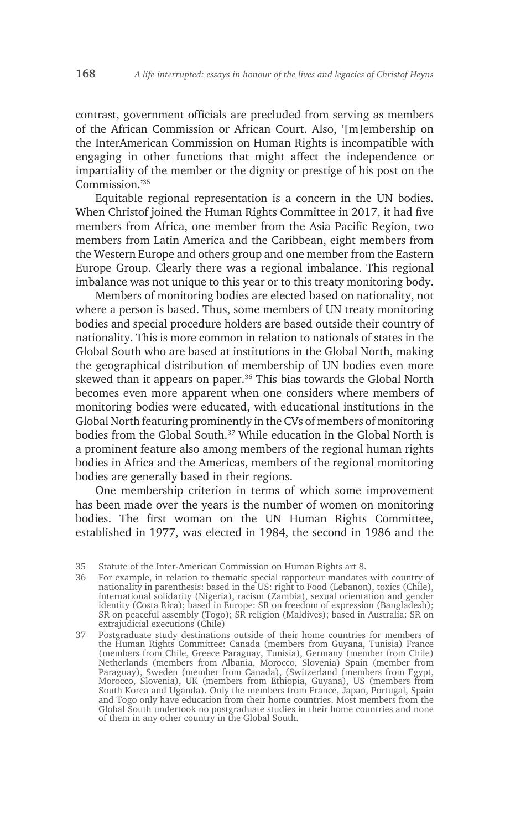contrast, government officials are precluded from serving as members of the African Commission or African Court. Also, '[m]embership on the InterAmerican Commission on Human Rights is incompatible with engaging in other functions that might affect the independence or impartiality of the member or the dignity or prestige of his post on the Commission.'35

Equitable regional representation is a concern in the UN bodies. When Christof joined the Human Rights Committee in 2017, it had five members from Africa, one member from the Asia Pacific Region, two members from Latin America and the Caribbean, eight members from the Western Europe and others group and one member from the Eastern Europe Group. Clearly there was a regional imbalance. This regional imbalance was not unique to this year or to this treaty monitoring body.

Members of monitoring bodies are elected based on nationality, not where a person is based. Thus, some members of UN treaty monitoring bodies and special procedure holders are based outside their country of nationality. This is more common in relation to nationals of states in the Global South who are based at institutions in the Global North, making the geographical distribution of membership of UN bodies even more skewed than it appears on paper.<sup>36</sup> This bias towards the Global North becomes even more apparent when one considers where members of monitoring bodies were educated, with educational institutions in the Global North featuring prominently in the CVs of members of monitoring bodies from the Global South.<sup>37</sup> While education in the Global North is a prominent feature also among members of the regional human rights bodies in Africa and the Americas, members of the regional monitoring bodies are generally based in their regions.

One membership criterion in terms of which some improvement has been made over the years is the number of women on monitoring bodies. The first woman on the UN Human Rights Committee, established in 1977, was elected in 1984, the second in 1986 and the

<sup>35</sup> Statute of the Inter-American Commission on Human Rights art 8.

<sup>36</sup> For example, in relation to thematic special rapporteur mandates with country of nationality in parenthesis: based in the US: right to Food (Lebanon), toxics (Chile), international solidarity (Nigeria), racism (Zambia), sexual orientation and gender identity (Costa Rica); based in Europe: SR on freedom of expression (Bangladesh); SR on peaceful assembly (Togo); SR religion (Maldives); based in Australia: SR on extrajudicial executions (Chile)

<sup>37</sup> Postgraduate study destinations outside of their home countries for members of the Human Rights Committee: Canada (members from Guyana, Tunisia) France (members from Chile, Greece Paraguay, Tunisia), Germany (member from Chile) Netherlands (members from Albania, Morocco, Slovenia) Spain (member from Paraguay), Sweden (member from Canada), (Switzerland (members from Egypt, Morocco, Slovenia), UK (members from Ethiopia, Guyana), US (members from South Korea and Uganda). Only the members from France, Japan, Portugal, Spain and Togo only have education from their home countries. Most members from the Global South undertook no postgraduate studies in their home countries and none of them in any other country in the Global South.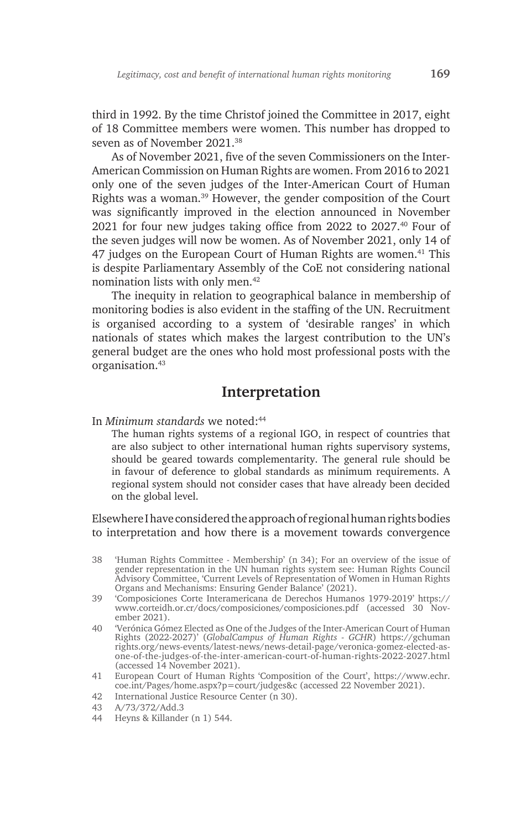third in 1992. By the time Christof joined the Committee in 2017, eight of 18 Committee members were women. This number has dropped to seven as of November 2021.38

As of November 2021, five of the seven Commissioners on the Inter-American Commission on Human Rights are women. From 2016 to 2021 only one of the seven judges of the Inter-American Court of Human Rights was a woman.39 However, the gender composition of the Court was significantly improved in the election announced in November 2021 for four new judges taking office from 2022 to 2027.40 Four of the seven judges will now be women. As of November 2021, only 14 of 47 judges on the European Court of Human Rights are women.<sup>41</sup> This is despite Parliamentary Assembly of the CoE not considering national nomination lists with only men.42

The inequity in relation to geographical balance in membership of monitoring bodies is also evident in the staffing of the UN. Recruitment is organised according to a system of 'desirable ranges' in which nationals of states which makes the largest contribution to the UN's general budget are the ones who hold most professional posts with the organisation.43

### **Interpretation**

In *Minimum standards* we noted:44

The human rights systems of a regional IGO, in respect of countries that are also subject to other international human rights supervisory systems, should be geared towards complementarity. The general rule should be in favour of deference to global standards as minimum requirements. A regional system should not consider cases that have already been decided on the global level.

Elsewhere I have considered the approach of regional human rights bodies to interpretation and how there is a movement towards convergence

- 38 'Human Rights Committee Membership' (n 34); For an overview of the issue of gender representation in the UN human rights system see: Human Rights Council Advisory Committee, 'Current Levels of Representation of Women in Human Rights Organs and Mechanisms: Ensuring Gender Balance' (2021).
- 39 'Composiciones Corte Interamericana de Derechos Humanos 1979-2019' https:// www.corteidh.or.cr/docs/composiciones/composiciones.pdf (accessed 30 November 2021).
- 40 'Verónica Gómez Elected as One of the Judges of the Inter-American Court of Human Rights (2022-2027)' (*GlobalCampus of Human Rights - GCHR*) https://gchuman rights.org/news-events/latest-news/news-detail-page/veronica-gomez-elected-asone-of-the-judges-of-the-inter-american-court-of-human-rights-2022-2027.html (accessed 14 November 2021).
- 41 European Court of Human Rights 'Composition of the Court', https://www.echr. coe.int/Pages/home.aspx?p=court/judges&c (accessed 22 November 2021).
- 42 International Justice Resource Center (n 30).
- 43 A/73/372/Add.3
- 44 Heyns & Killander (n 1) 544.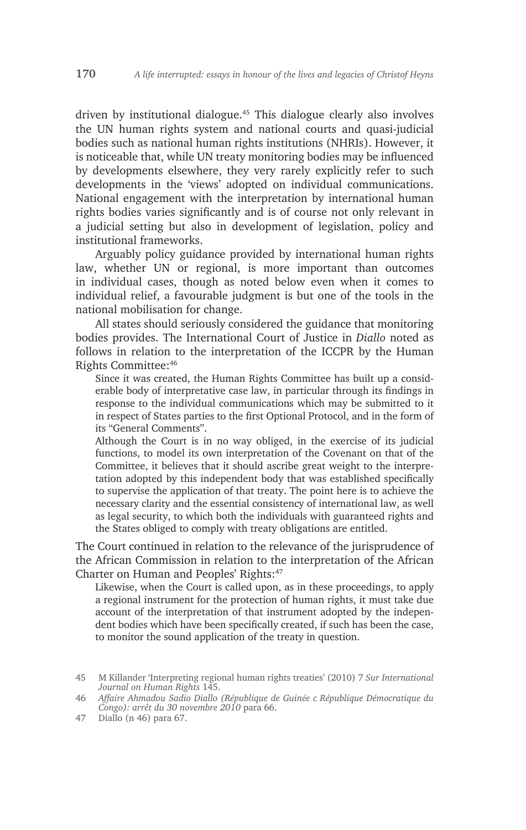driven by institutional dialogue.45 This dialogue clearly also involves the UN human rights system and national courts and quasi-judicial bodies such as national human rights institutions (NHRIs). However, it is noticeable that, while UN treaty monitoring bodies may be influenced by developments elsewhere, they very rarely explicitly refer to such developments in the 'views' adopted on individual communications. National engagement with the interpretation by international human rights bodies varies significantly and is of course not only relevant in a judicial setting but also in development of legislation, policy and institutional frameworks.

Arguably policy guidance provided by international human rights law, whether UN or regional, is more important than outcomes in individual cases, though as noted below even when it comes to individual relief, a favourable judgment is but one of the tools in the national mobilisation for change.

All states should seriously considered the guidance that monitoring bodies provides. The International Court of Justice in *Diallo* noted as follows in relation to the interpretation of the ICCPR by the Human Rights Committee:46

Since it was created, the Human Rights Committee has built up a considerable body of interpretative case law, in particular through its findings in response to the individual communications which may be submitted to it in respect of States parties to the first Optional Protocol, and in the form of its "General Comments".

Although the Court is in no way obliged, in the exercise of its judicial functions, to model its own interpretation of the Covenant on that of the Committee, it believes that it should ascribe great weight to the interpretation adopted by this independent body that was established specifically to supervise the application of that treaty. The point here is to achieve the necessary clarity and the essential consistency of international law, as well as legal security, to which both the individuals with guaranteed rights and the States obliged to comply with treaty obligations are entitled.

The Court continued in relation to the relevance of the jurisprudence of the African Commission in relation to the interpretation of the African Charter on Human and Peoples' Rights:<sup>47</sup>

Likewise, when the Court is called upon, as in these proceedings, to apply a regional instrument for the protection of human rights, it must take due account of the interpretation of that instrument adopted by the independent bodies which have been specifically created, if such has been the case, to monitor the sound application of the treaty in question.

<sup>45</sup> M Killander 'Interpreting regional human rights treaties' (2010) 7 *Sur International Journal on Human Rights* 145.

<sup>46</sup> *Affaire Ahmadou Sadio Diallo (République de Guinée c République Démocratique du Congo): arrêt du 30 novembre 2010* para 66.

<sup>47</sup> Diallo (n 46) para 67.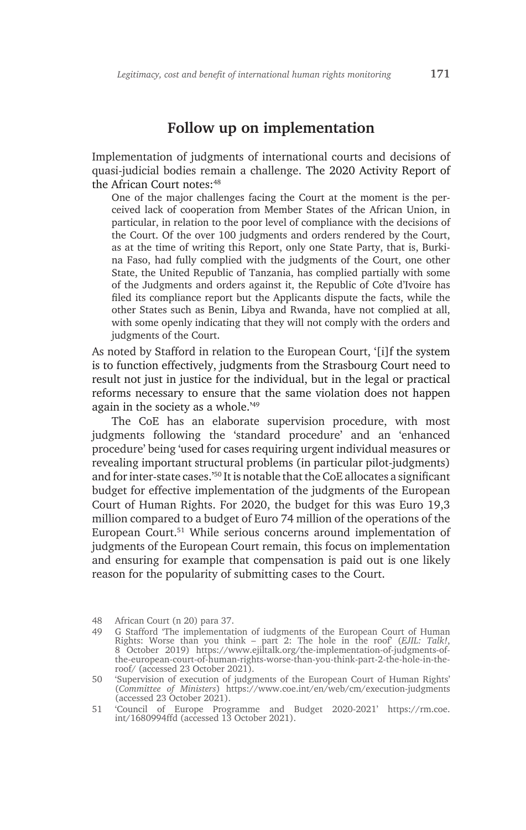#### **Follow up on implementation**

Implementation of judgments of international courts and decisions of quasi-judicial bodies remain a challenge. The 2020 Activity Report of the African Court notes:<sup>48</sup>

One of the major challenges facing the Court at the moment is the perceived lack of cooperation from Member States of the African Union, in particular, in relation to the poor level of compliance with the decisions of the Court. Of the over 100 judgments and orders rendered by the Court, as at the time of writing this Report, only one State Party, that is, Burkina Faso, had fully complied with the judgments of the Court, one other State, the United Republic of Tanzania, has complied partially with some of the Judgments and orders against it, the Republic of Côte d'Ivoire has filed its compliance report but the Applicants dispute the facts, while the other States such as Benin, Libya and Rwanda, have not complied at all, with some openly indicating that they will not comply with the orders and judgments of the Court.

As noted by Stafford in relation to the European Court, '[i]f the system is to function effectively, judgments from the Strasbourg Court need to result not just in justice for the individual, but in the legal or practical reforms necessary to ensure that the same violation does not happen again in the society as a whole.'49

The CoE has an elaborate supervision procedure, with most judgments following the 'standard procedure' and an 'enhanced procedure' being 'used for cases requiring urgent individual measures or revealing important structural problems (in particular pilot-judgments) and for inter-state cases.'50 It is notable that the CoE allocates a significant budget for effective implementation of the judgments of the European Court of Human Rights. For 2020, the budget for this was Euro 19,3 million compared to a budget of Euro 74 million of the operations of the European Court.<sup>51</sup> While serious concerns around implementation of judgments of the European Court remain, this focus on implementation and ensuring for example that compensation is paid out is one likely reason for the popularity of submitting cases to the Court.

<sup>48</sup> African Court (n 20) para 37.

<sup>49</sup> G Stafford 'The implementation of iudgments of the European Court of Human Rights: Worse than you think – part 2: The hole in the roof' (*EJIL: Talk!*, 8 October 2019) https://www.ejiltalk.org/the-implementation-of-judgments-ofthe-european-court-of-human-rights-worse-than-you-think-part-2-the-hole-in-theroof/ (accessed 23 October 2021).

<sup>50</sup> 'Supervision of execution of judgments of the European Court of Human Rights' (*Committee of Ministers*) https://www.coe.int/en/web/cm/execution-judgments (accessed 23 October 2021).

<sup>51</sup> 'Council of Europe Programme and Budget 2020-2021' https://rm.coe. int/1680994ffd (accessed 13 October 2021).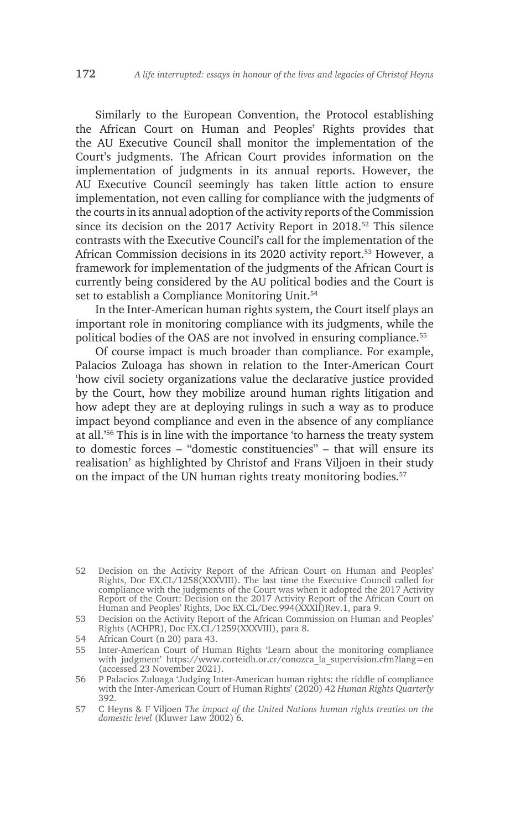Similarly to the European Convention, the Protocol establishing the African Court on Human and Peoples' Rights provides that the AU Executive Council shall monitor the implementation of the Court's judgments. The African Court provides information on the implementation of judgments in its annual reports. However, the AU Executive Council seemingly has taken little action to ensure implementation, not even calling for compliance with the judgments of the courts in its annual adoption of the activity reports of the Commission since its decision on the 2017 Activity Report in 2018.<sup>52</sup> This silence contrasts with the Executive Council's call for the implementation of the African Commission decisions in its 2020 activity report.53 However, a framework for implementation of the judgments of the African Court is currently being considered by the AU political bodies and the Court is set to establish a Compliance Monitoring Unit.<sup>54</sup>

In the Inter-American human rights system, the Court itself plays an important role in monitoring compliance with its judgments, while the political bodies of the OAS are not involved in ensuring compliance.<sup>55</sup>

Of course impact is much broader than compliance. For example, Palacios Zuloaga has shown in relation to the Inter-American Court 'how civil society organizations value the declarative justice provided by the Court, how they mobilize around human rights litigation and how adept they are at deploying rulings in such a way as to produce impact beyond compliance and even in the absence of any compliance at all.'56 This is in line with the importance 'to harness the treaty system to domestic forces – "domestic constituencies" – that will ensure its realisation' as highlighted by Christof and Frans Viljoen in their study on the impact of the UN human rights treaty monitoring bodies.<sup>57</sup>

<sup>52</sup> Decision on the Activity Report of the African Court on Human and Peoples' Rights, Doc EX.CL/1258(XXXVIII). The last time the Executive Council called for compliance with the judgments of the Court was when it adopted the 2017 Activity Report of the Court: Decision on the 2017 Activity Report of the African Court on Human and Peoples' Rights, Doc EX.CL/Dec.994(XXXII)Rev.1, para 9.

<sup>53</sup> Decision on the Activity Report of the African Commission on Human and Peoples' Rights (ACHPR), Doc EX.CL/1259(XXXVIII), para 8.

<sup>54</sup> African Court (n 20) para 43.

<sup>55</sup> Inter-American Court of Human Rights 'Learn about the monitoring compliance with judgment' https://www.corteidh.or.cr/conozca\_la\_supervision.cfm?lang=en (accessed 23 November 2021).

<sup>56</sup> P Palacios Zuloaga 'Judging Inter-American human rights: the riddle of compliance with the Inter-American Court of Human Rights' (2020) 42 *Human Rights Quarterly* 392.

<sup>57</sup> C Heyns & F Viljoen *The impact of the United Nations human rights treaties on the domestic level* (Kluwer Law 2002) 6.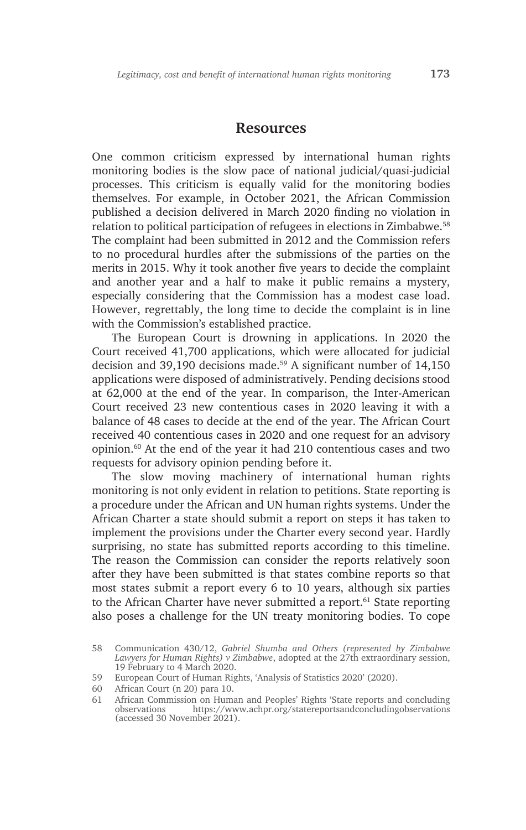#### **Resources**

One common criticism expressed by international human rights monitoring bodies is the slow pace of national judicial/quasi-judicial processes. This criticism is equally valid for the monitoring bodies themselves. For example, in October 2021, the African Commission published a decision delivered in March 2020 finding no violation in relation to political participation of refugees in elections in Zimbabwe.58 The complaint had been submitted in 2012 and the Commission refers to no procedural hurdles after the submissions of the parties on the merits in 2015. Why it took another five years to decide the complaint and another year and a half to make it public remains a mystery, especially considering that the Commission has a modest case load. However, regrettably, the long time to decide the complaint is in line with the Commission's established practice.

The European Court is drowning in applications. In 2020 the Court received 41,700 applications, which were allocated for judicial decision and 39,190 decisions made.<sup>59</sup> A significant number of 14,150 applications were disposed of administratively. Pending decisions stood at 62,000 at the end of the year. In comparison, the Inter-American Court received 23 new contentious cases in 2020 leaving it with a balance of 48 cases to decide at the end of the year. The African Court received 40 contentious cases in 2020 and one request for an advisory opinion.60 At the end of the year it had 210 contentious cases and two requests for advisory opinion pending before it.

The slow moving machinery of international human rights monitoring is not only evident in relation to petitions. State reporting is a procedure under the African and UN human rights systems. Under the African Charter a state should submit a report on steps it has taken to implement the provisions under the Charter every second year. Hardly surprising, no state has submitted reports according to this timeline. The reason the Commission can consider the reports relatively soon after they have been submitted is that states combine reports so that most states submit a report every 6 to 10 years, although six parties to the African Charter have never submitted a report.<sup>61</sup> State reporting also poses a challenge for the UN treaty monitoring bodies. To cope

<sup>58</sup> Communication 430/12, *Gabriel Shumba and Others (represented by Zimbabwe Lawyers for Human Rights) v Zimbabwe*, adopted at the 27th extraordinary session, 19 February to 4 March 2020.

<sup>59</sup> European Court of Human Rights, 'Analysis of Statistics 2020' (2020).

<sup>60</sup> African Court (n 20) para 10.

<sup>61</sup> African Commission on Human and Peoples' Rights 'State reports and concluding observations https://www.achpr.org/statereportsandconcludingobservations (accessed 30 November 2021).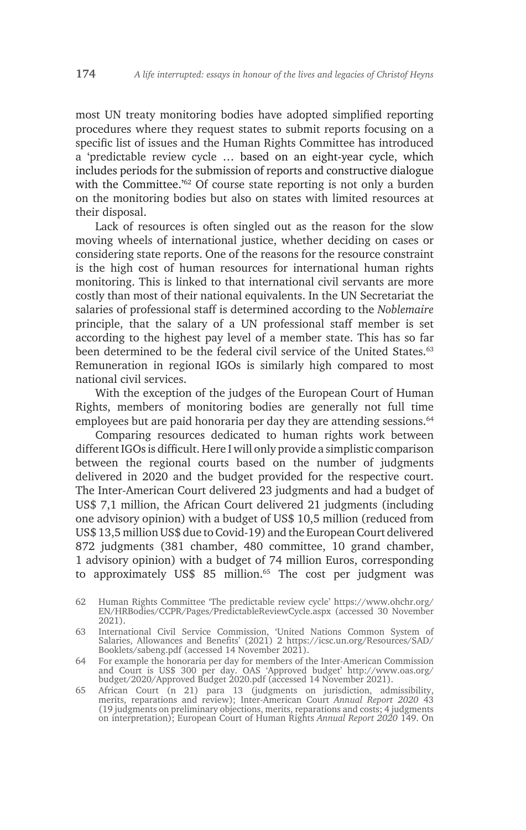most UN treaty monitoring bodies have adopted simplified reporting procedures where they request states to submit reports focusing on a specific list of issues and the Human Rights Committee has introduced a 'predictable review cycle … based on an eight-year cycle, which includes periods for the submission of reports and constructive dialogue with the Committee.<sup>'62</sup> Of course state reporting is not only a burden on the monitoring bodies but also on states with limited resources at their disposal.

Lack of resources is often singled out as the reason for the slow moving wheels of international justice, whether deciding on cases or considering state reports. One of the reasons for the resource constraint is the high cost of human resources for international human rights monitoring. This is linked to that international civil servants are more costly than most of their national equivalents. In the UN Secretariat the salaries of professional staff is determined according to the *Noblemaire*  principle, that the salary of a UN professional staff member is set according to the highest pay level of a member state. This has so far been determined to be the federal civil service of the United States.<sup>63</sup> Remuneration in regional IGOs is similarly high compared to most national civil services.

With the exception of the judges of the European Court of Human Rights, members of monitoring bodies are generally not full time employees but are paid honoraria per day they are attending sessions.<sup>64</sup>

Comparing resources dedicated to human rights work between different IGOs is difficult. Here I will only provide a simplistic comparison between the regional courts based on the number of judgments delivered in 2020 and the budget provided for the respective court. The Inter-American Court delivered 23 judgments and had a budget of US\$ 7,1 million, the African Court delivered 21 judgments (including one advisory opinion) with a budget of US\$ 10,5 million (reduced from US\$ 13,5 million US\$ due to Covid-19) and the European Court delivered 872 judgments (381 chamber, 480 committee, 10 grand chamber, 1 advisory opinion) with a budget of 74 million Euros, corresponding to approximately US\$ 85 million.<sup>65</sup> The cost per judgment was

<sup>62</sup> Human Rights Committee 'The predictable review cycle' https://www.ohchr.org/ EN/HRBodies/CCPR/Pages/PredictableReviewCycle.aspx (accessed 30 November 2021).

<sup>63</sup> International Civil Service Commission, 'United Nations Common System of Salaries, Allowances and Benefits' (2021) 2 https://icsc.un.org/Resources/SAD/ Booklets/sabeng.pdf (accessed 14 November 2021).

<sup>64</sup> For example the honoraria per day for members of the Inter-American Commission and Court is US\$ 300 per day. OAS 'Approved budget' http://www.oas.org/ budget/2020/Approved Budget 2020.pdf (accessed 14 November 2021).

<sup>65</sup> African Court (n 21) para 13 (judgments on jurisdiction, admissibility, merits, reparations and review); Inter-American Court *Annual Report 2020* 43 (19 judgments on preliminary objections, merits, reparations and costs; 4 judgments on interpretation); European Court of Human Rights *Annual Report 2020* 149. On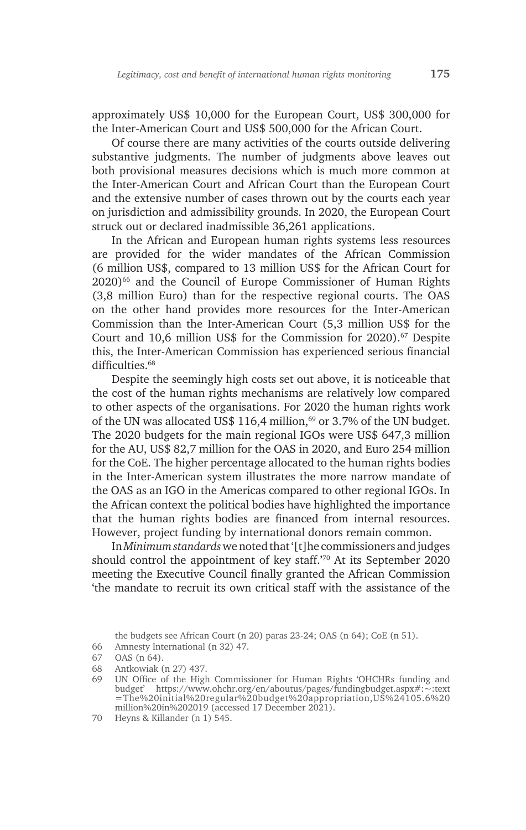approximately US\$ 10,000 for the European Court, US\$ 300,000 for the Inter-American Court and US\$ 500,000 for the African Court.

Of course there are many activities of the courts outside delivering substantive judgments. The number of judgments above leaves out both provisional measures decisions which is much more common at the Inter-American Court and African Court than the European Court and the extensive number of cases thrown out by the courts each year on jurisdiction and admissibility grounds. In 2020, the European Court struck out or declared inadmissible 36,261 applications.

In the African and European human rights systems less resources are provided for the wider mandates of the African Commission (6 million US\$, compared to 13 million US\$ for the African Court for 2020)66 and the Council of Europe Commissioner of Human Rights (3,8 million Euro) than for the respective regional courts. The OAS on the other hand provides more resources for the Inter-American Commission than the Inter-American Court (5,3 million US\$ for the Court and 10,6 million US\$ for the Commission for  $2020$ .<sup>67</sup> Despite this, the Inter-American Commission has experienced serious financial difficulties.<sup>68</sup>

Despite the seemingly high costs set out above, it is noticeable that the cost of the human rights mechanisms are relatively low compared to other aspects of the organisations. For 2020 the human rights work of the UN was allocated US\$ 116,4 million,<sup>69</sup> or 3.7% of the UN budget. The 2020 budgets for the main regional IGOs were US\$ 647,3 million for the AU, US\$ 82,7 million for the OAS in 2020, and Euro 254 million for the CoE. The higher percentage allocated to the human rights bodies in the Inter-American system illustrates the more narrow mandate of the OAS as an IGO in the Americas compared to other regional IGOs. In the African context the political bodies have highlighted the importance that the human rights bodies are financed from internal resources. However, project funding by international donors remain common.

In *Minimum standards* we noted that '[t]he commissioners and judges should control the appointment of key staff.'70 At its September 2020 meeting the Executive Council finally granted the African Commission 'the mandate to recruit its own critical staff with the assistance of the

the budgets see African Court (n 20) paras 23-24; OAS (n 64); CoE (n 51).

<sup>66</sup> Amnesty International (n 32) 47.

<sup>67</sup> OAS (n 64).

<sup>68</sup> Antkowiak (n 27) 437.

<sup>69</sup> UN Office of the High Commissioner for Human Rights 'OHCHRs funding and budget' https://www.ohchr.org/en/aboutus/pages/fundingbudget.aspx#:~:text =The%20initial%20regular%20budget%20appropriation,US%24105.6%20 million%20in%202019 (accessed 17 December 2021).

<sup>70</sup> Heyns & Killander (n 1) 545.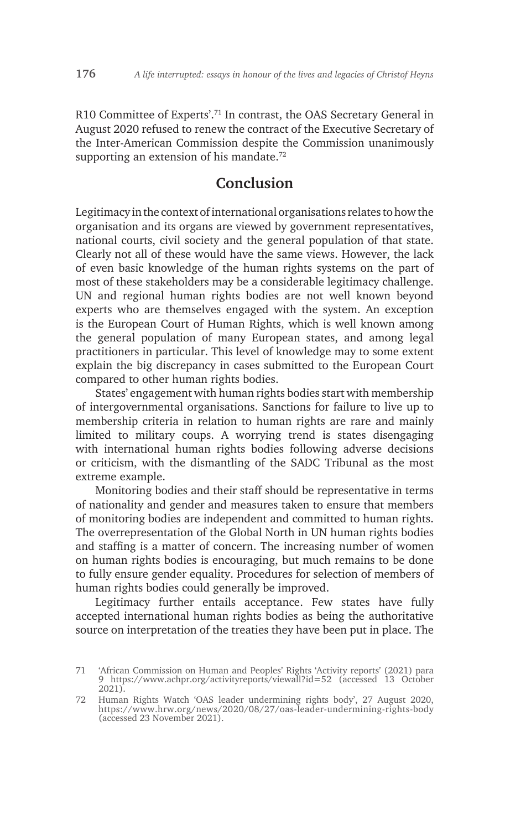R10 Committee of Experts'.71 In contrast, the OAS Secretary General in August 2020 refused to renew the contract of the Executive Secretary of the Inter-American Commission despite the Commission unanimously supporting an extension of his mandate.<sup>72</sup>

### **Conclusion**

Legitimacy in the context of international organisations relates to how the organisation and its organs are viewed by government representatives, national courts, civil society and the general population of that state. Clearly not all of these would have the same views. However, the lack of even basic knowledge of the human rights systems on the part of most of these stakeholders may be a considerable legitimacy challenge. UN and regional human rights bodies are not well known beyond experts who are themselves engaged with the system. An exception is the European Court of Human Rights, which is well known among the general population of many European states, and among legal practitioners in particular. This level of knowledge may to some extent explain the big discrepancy in cases submitted to the European Court compared to other human rights bodies.

States' engagement with human rights bodies start with membership of intergovernmental organisations. Sanctions for failure to live up to membership criteria in relation to human rights are rare and mainly limited to military coups. A worrying trend is states disengaging with international human rights bodies following adverse decisions or criticism, with the dismantling of the SADC Tribunal as the most extreme example.

Monitoring bodies and their staff should be representative in terms of nationality and gender and measures taken to ensure that members of monitoring bodies are independent and committed to human rights. The overrepresentation of the Global North in UN human rights bodies and staffing is a matter of concern. The increasing number of women on human rights bodies is encouraging, but much remains to be done to fully ensure gender equality. Procedures for selection of members of human rights bodies could generally be improved.

Legitimacy further entails acceptance. Few states have fully accepted international human rights bodies as being the authoritative source on interpretation of the treaties they have been put in place. The

<sup>71</sup> 'African Commission on Human and Peoples' Rights 'Activity reports' (2021) para 9 https://www.achpr.org/activityreports/viewall?id=52 (accessed 13 October 2021).

<sup>72</sup> Human Rights Watch 'OAS leader undermining rights body', 27 August 2020, https://www.hrw.org/news/2020/08/27/oas-leader-undermining-rights-body (accessed 23 November 2021).